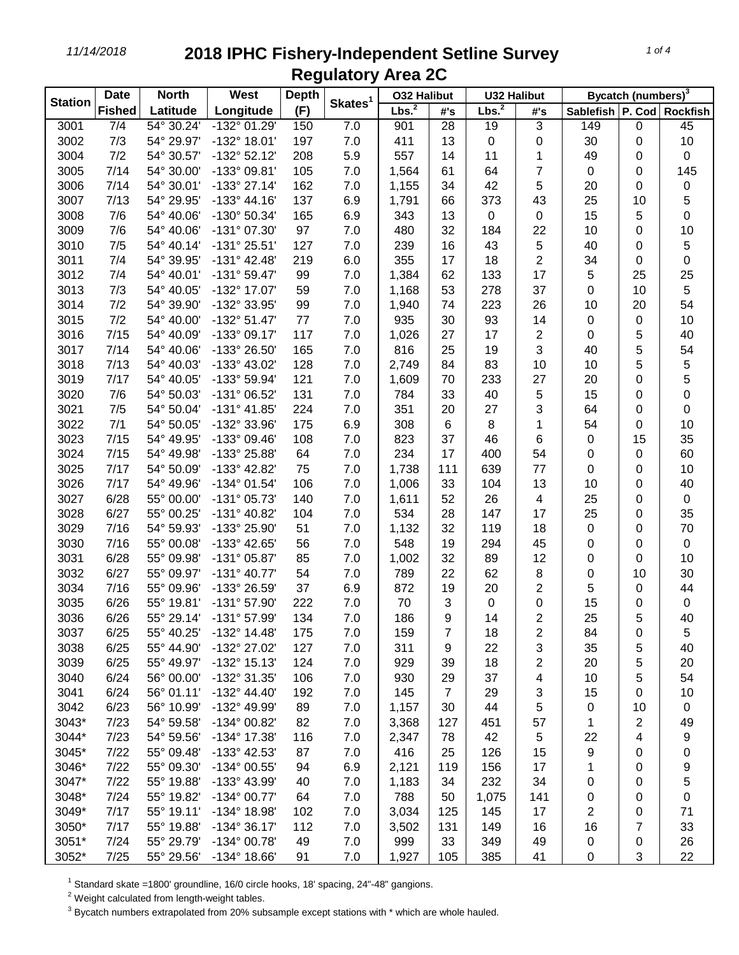## *11/14/2018* **2018 IPHC Fishery-Independent Setline Survey Regulatory Area 2C**

| <b>Station</b> | <b>Date</b>      | <b>North</b> | <b>West</b>           | <b>Depth</b> | Skates <sup>1</sup> |                   | <b>032 Halibut</b> |                   | <b>U32 Halibut</b> |                               | Bycatch (numbers) <sup>3</sup> |           |  |
|----------------|------------------|--------------|-----------------------|--------------|---------------------|-------------------|--------------------|-------------------|--------------------|-------------------------------|--------------------------------|-----------|--|
|                | <b>Fished</b>    | Latitude     | Longitude             | (F)          |                     | Lbs. <sup>2</sup> | #'s                | Lbs. <sup>2</sup> | #'s                | Sablefish   P. Cod   Rockfish |                                |           |  |
| 3001           | $\overline{7/4}$ | 54° 30.24'   | -132° 01.29'          | 150          | 7.0                 | 901               | 28                 | 19                | $\overline{3}$     | 149                           | $\pmb{0}$                      | 45        |  |
| 3002           | 7/3              | 54° 29.97'   | -132° 18.01'          | 197          | 7.0                 | 411               | 13                 | 0                 | 0                  | 30                            | 0                              | 10        |  |
| 3004           | 7/2              | 54° 30.57'   | $-132^{\circ}$ 52.12' | 208          | 5.9                 | 557               | 14                 | 11                | 1                  | 49                            | 0                              | 0         |  |
| 3005           | 7/14             | 54° 30.00'   | -133° 09.81'          | 105          | 7.0                 | 1,564             | 61                 | 64                | 7                  | $\pmb{0}$                     | 0                              | 145       |  |
| 3006           | 7/14             | 54° 30.01'   | -133° 27.14'          | 162          | 7.0                 | 1,155             | 34                 | 42                | 5                  | 20                            | 0                              | 0         |  |
| 3007           | 7/13             | 54° 29.95'   | $-133^{\circ}$ 44.16' | 137          | 6.9                 | 1,791             | 66                 | 373               | 43                 | 25                            | 10                             | 5         |  |
| 3008           | 7/6              | 54° 40.06'   | -130° 50.34'          | 165          | 6.9                 | 343               | 13                 | $\mathbf 0$       | 0                  | 15                            | 5                              | 0         |  |
| 3009           | 7/6              | 54° 40.06'   | -131° 07.30'          | 97           | 7.0                 | 480               | 32                 | 184               | 22                 | 10                            | 0                              | 10        |  |
| 3010           | 7/5              | 54° 40.14'   | $-131° 25.51'$        | 127          | 7.0                 | 239               | 16                 | 43                | 5                  | 40                            | 0                              | 5         |  |
| 3011           | 7/4              | 54° 39.95'   | $-131^{\circ}$ 42.48' | 219          | 6.0                 | 355               | 17                 | 18                | 2                  | 34                            | 0                              | 0         |  |
| 3012           | 7/4              | 54° 40.01'   | $-131°59.47'$         | 99           | 7.0                 | 1,384             | 62                 | 133               | 17                 | 5                             | 25                             | 25        |  |
| 3013           | 7/3              | 54° 40.05'   | -132° 17.07'          | 59           | 7.0                 | 1,168             | 53                 | 278               | 37                 | 0                             | 10                             | 5         |  |
| 3014           | 7/2              | 54° 39.90'   | -132° 33.95'          | 99           | 7.0                 | 1,940             | 74                 | 223               | 26                 | 10                            | 20                             | 54        |  |
| 3015           | 7/2              | 54° 40.00'   | $-132^{\circ} 51.47'$ | 77           | 7.0                 | 935               | 30                 | 93                | 14                 | 0                             | 0                              | 10        |  |
| 3016           | 7/15             | 54° 40.09'   | -133° 09.17'          | 117          | 7.0                 | 1,026             | 27                 | 17                | 2                  | 0                             | 5                              | 40        |  |
| 3017           | 7/14             | 54° 40.06'   | -133° 26.50'          | 165          | 7.0                 | 816               | 25                 | 19                | 3                  | 40                            | 5                              | 54        |  |
| 3018           | 7/13             | 54° 40.03'   | -133° 43.02'          | 128          | 7.0                 | 2,749             | 84                 | 83                | 10                 | 10                            | 5                              | 5         |  |
| 3019           | 7/17             | 54° 40.05'   | -133° 59.94'          | 121          | 7.0                 | 1,609             | 70                 | 233               | 27                 | 20                            | 0                              | 5         |  |
| 3020           | 7/6              | 54° 50.03'   | -131° 06.52'          | 131          | 7.0                 | 784               | 33                 | 40                | 5                  | 15                            | 0                              | 0         |  |
| 3021           | 7/5              | 54° 50.04'   | $-131°$ 41.85'        | 224          | 7.0                 | 351               | 20                 | 27                | 3                  | 64                            | 0                              | 0         |  |
| 3022           | 7/1              | 54° 50.05'   | -132° 33.96'          | 175          | 6.9                 | 308               | 6                  | 8                 | 1                  | 54                            | 0                              | 10        |  |
| 3023           | 7/15             | 54° 49.95'   | -133° 09.46'          | 108          | 7.0                 | 823               | 37                 | 46                | 6                  | 0                             | 15                             | 35        |  |
| 3024           | 7/15             | 54° 49.98'   | -133° 25.88'          | 64           | 7.0                 | 234               | 17                 | 400               | 54                 | 0                             | 0                              | 60        |  |
| 3025           | 7/17             | 54° 50.09'   | -133° 42.82'          | 75           | 7.0                 | 1,738             | 111                | 639               | 77                 | $\pmb{0}$                     | 0                              | $10$      |  |
| 3026           | 7/17             | 54° 49.96'   | -134° 01.54'          | 106          | 7.0                 | 1,006             | 33                 | 104               | 13                 | 10                            | 0                              | 40        |  |
| 3027           | 6/28             | 55° 00.00'   | -131° 05.73'          | 140          | 7.0                 | 1,611             | 52                 | 26                | 4                  | 25                            | 0                              | $\pmb{0}$ |  |
| 3028           | 6/27             | 55° 00.25'   | -131° 40.82'          | 104          | 7.0                 | 534               | 28                 | 147               | 17                 | 25                            | 0                              | 35        |  |
| 3029           | 7/16             | 54° 59.93'   | -133° 25.90'          | 51           | 7.0                 | 1,132             | 32                 | 119               | 18                 | $\pmb{0}$                     | 0                              | $70\,$    |  |
| 3030           | 7/16             | 55° 00.08'   | -133° 42.65'          | 56           | 7.0                 | 548               | 19                 | 294               | 45                 | 0                             | 0                              | $\pmb{0}$ |  |
| 3031           | 6/28             | 55° 09.98'   | $-131^{\circ}$ 05.87' | 85           | 7.0                 | 1,002             | 32                 | 89                | 12                 | 0                             | 0                              | 10        |  |
| 3032           | 6/27             | 55° 09.97'   | $-131^{\circ}$ 40.77' | 54           | 7.0                 | 789               | 22                 | 62                | 8                  | 0                             | 10                             | 30        |  |
| 3034           | 7/16             | 55° 09.96'   | -133° 26.59'          | 37           | 6.9                 | 872               | 19                 | 20                | 2                  | 5                             | 0                              | 44        |  |
| 3035           | 6/26             | 55° 19.81'   | -131° 57.90'          | 222          | 7.0                 | 70                | 3                  | 0                 | 0                  | 15                            | 0                              | $\pmb{0}$ |  |
| 3036           | 6/26             | 55° 29.14'   | -131° 57.99'          | 134          | 7.0                 | 186               | 9                  | 14                | 2                  | 25                            | 5                              | 40        |  |
| 3037           | 6/25             | 55° 40.25'   | $-132^{\circ}$ 14.48' | 175          | 7.0                 | 159               | 7                  | 18                | 2                  | 84                            | 0                              | 5         |  |
| 3038           | 6/25             | 55° 44.90'   | -132° 27.02'          | 127          | 7.0                 | 311               | 9                  | 22                | 3                  | 35                            | 5                              | 40        |  |
| 3039           | 6/25             | 55° 49.97'   | -132° 15.13'          | 124          | 7.0                 | 929               | 39                 | 18                | 2                  | 20                            | 5                              | 20        |  |
| 3040           | 6/24             | 56° 00.00'   | -132° 31.35'          | 106          | 7.0                 | 930               | 29                 | 37                | 4                  | 10                            | 5                              | 54        |  |
| 3041           | 6/24             | 56° 01.11'   | $-132^{\circ}$ 44.40' | 192          | 7.0                 | 145               | $\overline{7}$     | 29                | 3                  | 15                            | 0                              | 10        |  |
| 3042           | 6/23             | 56° 10.99'   | -132° 49.99'          | 89           | 7.0                 | 1,157             | 30                 | 44                | 5                  | 0                             | 10                             | 0         |  |
| 3043*          | 7/23             | 54° 59.58'   | -134° 00.82'          | 82           | 7.0                 | 3,368             | 127                | 451               | 57                 | 1                             | 2                              | 49        |  |
| 3044*          | 7/23             | 54° 59.56'   | -134° 17.38'          | 116          | 7.0                 | 2,347             | 78                 | 42                | 5                  | 22                            | 4                              | 9         |  |
| 3045*          | 7/22             | 55° 09.48'   | -133° 42.53'          | 87           | 7.0                 | 416               | 25                 | 126               | 15                 | 9                             | 0                              | 0         |  |
| 3046*          | 7/22             | 55° 09.30'   | -134° 00.55'          | 94           | 6.9                 | 2,121             | 119                | 156               | 17                 | 1                             | 0                              | 9         |  |
| 3047*          | 7/22             | 55° 19.88'   | -133° 43.99'          | 40           | 7.0                 | 1,183             | 34                 | 232               | 34                 | 0                             | 0                              | 5         |  |
| 3048*          | 7/24             | 55° 19.82'   | -134° 00.77'          | 64           | 7.0                 | 788               | 50                 | 1,075             | 141                | 0                             | 0                              | 0         |  |
| 3049*          | 7/17             | 55° 19.11'   | -134° 18.98'          | 102          | 7.0                 | 3,034             | 125                | 145               | 17                 | 2                             | 0                              | 71        |  |
| 3050*          | 7/17             | 55° 19.88'   | $-134^{\circ}36.17'$  | 112          | 7.0                 | 3,502             | 131                | 149               | 16                 | 16                            | 7                              | 33        |  |
| 3051*          | 7/24             | 55° 29.79'   | -134° 00.78'          | 49           | 7.0                 | 999               | 33                 | 349               | 49                 | 0                             | 0                              | 26        |  |
| 3052*          | 7/25             | 55° 29.56'   | $-134^{\circ}$ 18.66' | 91           | 7.0                 | 1,927             | 105                | 385               | 41                 | 0                             | $\sqrt{3}$                     | 22        |  |

Standard skate =1800' groundline, 16/0 circle hooks, 18' spacing, 24"-48" gangions.

Weight calculated from length-weight tables.

Bycatch numbers extrapolated from 20% subsample except stations with  $*$  which are whole hauled.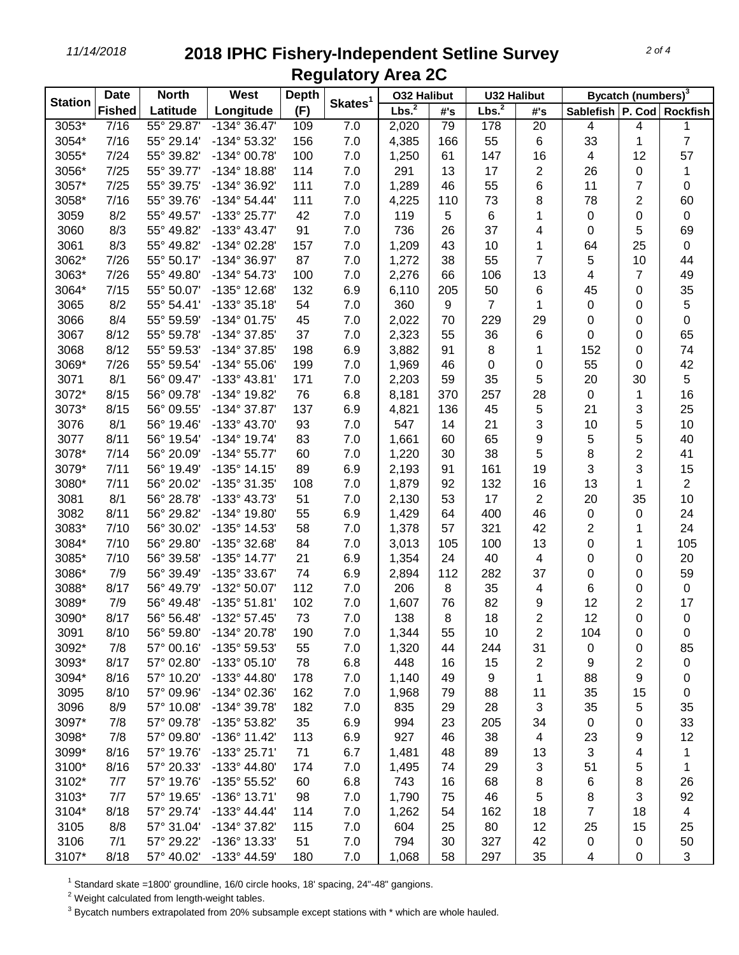## *11/14/2018* **2018 IPHC Fishery-Independent Setline Survey Regulatory Area 2C**

|                | <b>Date</b>   | West<br><b>North</b><br><b>Depth</b> |                       |     | <b>032 Halibut</b>  |                   | <b>U32 Halibut</b> |                   | Bycatch (numbers) <sup>3</sup> |                               |           |                |
|----------------|---------------|--------------------------------------|-----------------------|-----|---------------------|-------------------|--------------------|-------------------|--------------------------------|-------------------------------|-----------|----------------|
| <b>Station</b> | <b>Fished</b> | Latitude                             | Longitude             | (F) | Skates <sup>1</sup> | Lbs. <sup>2</sup> | #'s                | Lbs. <sup>2</sup> | #'s                            | Sablefish   P. Cod   Rockfish |           |                |
| 3053*          | 7/16          | 55° 29.87'                           | -134° 36.47'          | 109 | 7.0                 | 2,020             | 79                 | 178               | 20                             | 4                             | 4         | 1              |
| 3054*          | 7/16          | 55° 29.14'                           | -134° 53.32'          | 156 | 7.0                 | 4,385             | 166                | 55                | 6                              | 33                            | 1         | $\overline{7}$ |
| 3055*          | 7/24          | 55° 39.82'                           | -134° 00.78'          | 100 | 7.0                 | 1,250             | 61                 | 147               | 16                             | 4                             | 12        | 57             |
| 3056*          | 7/25          | 55° 39.77'                           | -134° 18.88'          | 114 | 7.0                 | 291               | 13                 | 17                | $\overline{2}$                 | 26                            | 0         | 1              |
| 3057*          | 7/25          | 55° 39.75'                           | -134° 36.92'          | 111 | 7.0                 | 1,289             | 46                 | 55                | 6                              | 11                            | 7         | 0              |
| 3058*          | 7/16          | 55° 39.76'                           | $-134^{\circ} 54.44'$ | 111 | 7.0                 | 4,225             | 110                | 73                | 8                              | 78                            | 2         | 60             |
| 3059           | 8/2           | 55° 49.57'                           | -133° 25.77'          | 42  | 7.0                 | 119               | 5                  | $\,6$             | 1                              | $\pmb{0}$                     | 0         | 0              |
| 3060           | 8/3           | 55° 49.82'                           | -133° 43.47'          | 91  | 7.0                 | 736               | 26                 | 37                | 4                              | $\pmb{0}$                     | 5         | 69             |
| 3061           | 8/3           | 55° 49.82'                           | -134° 02.28'          | 157 | 7.0                 | 1,209             | 43                 | 10                | 1                              | 64                            | 25        | $\pmb{0}$      |
| 3062*          | 7/26          | 55° 50.17'                           | -134° 36.97'          | 87  | 7.0                 | 1,272             | 38                 | 55                | $\overline{7}$                 | 5                             | 10        | 44             |
| 3063*          | 7/26          | 55° 49.80'                           | -134° 54.73'          | 100 | 7.0                 | 2,276             | 66                 | 106               | 13                             | 4                             | 7         | 49             |
| 3064*          | 7/15          | 55° 50.07'                           | -135° 12.68'          | 132 | 6.9                 | 6,110             | 205                | 50                | 6                              | 45                            | 0         | 35             |
| 3065           | 8/2           | 55° 54.41'                           | -133° 35.18'          | 54  | 7.0                 | 360               | 9                  | 7                 | 1                              | 0                             | 0         | 5              |
| 3066           | 8/4           | 55° 59.59'                           | -134° 01.75'          | 45  | 7.0                 | 2,022             | 70                 | 229               | 29                             | 0                             | 0         | $\pmb{0}$      |
| 3067           | 8/12          | 55° 59.78'                           | -134° 37.85'          | 37  | 7.0                 | 2,323             | 55                 | 36                | 6                              | 0                             | 0         | 65             |
| 3068           | 8/12          | 55° 59.53'                           | -134° 37.85'          | 198 | 6.9                 | 3,882             | 91                 | 8                 | 1                              | 152                           | 0         | 74             |
| 3069*          | 7/26          | 55° 59.54'                           | -134° 55.06'          | 199 | 7.0                 | 1,969             | 46                 | 0                 | 0                              | 55                            | 0         | 42             |
| 3071           | 8/1           | 56° 09.47'                           | -133° 43.81'          | 171 | 7.0                 | 2,203             | 59                 | 35                | 5                              | 20                            | 30        | 5              |
| 3072*          | 8/15          | 56° 09.78'                           | -134° 19.82'          | 76  | 6.8                 | 8,181             | 370                | 257               | 28                             | $\boldsymbol{0}$              | 1         | 16             |
| 3073*          | 8/15          | 56° 09.55'                           | -134° 37.87'          | 137 | 6.9                 | 4,821             | 136                | 45                | 5                              | 21                            | 3         | 25             |
| 3076           | 8/1           | 56° 19.46'                           | -133° 43.70'          | 93  | 7.0                 | 547               | 14                 | 21                | 3                              | 10                            | 5         | 10             |
| 3077           | 8/11          | 56° 19.54'                           | -134° 19.74'          | 83  | 7.0                 | 1,661             | 60                 | 65                | 9                              | 5                             | 5         | 40             |
| 3078*          | 7/14          | 56° 20.09'                           | $-134^{\circ}55.77'$  | 60  | 7.0                 | 1,220             | 30                 | 38                | 5                              | 8                             | 2         | 41             |
| 3079*          | 7/11          | 56° 19.49'                           | $-135°$ 14.15'        | 89  | 6.9                 | 2,193             | 91                 | 161               | 19                             | 3                             | 3         | 15             |
| 3080*          | 7/11          | 56° 20.02'                           | -135° 31.35'          | 108 | 7.0                 | 1,879             | 92                 | 132               | 16                             | 13                            | 1         | $\overline{2}$ |
| 3081           | 8/1           | 56° 28.78'                           | -133° 43.73'          | 51  | 7.0                 | 2,130             | 53                 | 17                | $\overline{2}$                 | 20                            | 35        | 10             |
| 3082           | 8/11          | 56° 29.82'                           | -134° 19.80'          | 55  | 6.9                 | 1,429             | 64                 | 400               | 46                             | $\pmb{0}$                     | 0         | 24             |
| 3083*          | 7/10          | 56° 30.02'                           | -135° 14.53'          | 58  | 7.0                 | 1,378             | 57                 | 321               | 42                             | 2                             |           | 24             |
| 3084*          | 7/10          | 56° 29.80'                           | -135° 32.68'          | 84  | 7.0                 | 3,013             | 105                | 100               | 13                             | 0                             | 1         | 105            |
| 3085*          | 7/10          | 56° 39.58'                           | -135° 14.77'          | 21  | 6.9                 | 1,354             | 24                 | 40                | 4                              | 0                             | 0         | 20             |
| 3086*          | 7/9           | 56° 39.49'                           | -135° 33.67'          | 74  | 6.9                 | 2,894             | 112                | 282               | 37                             | 0                             | 0         | 59             |
| 3088*          | 8/17          | 56° 49.79'                           | -132° 50.07'          | 112 | 7.0                 | 206               | 8                  | 35                | 4                              | 6                             | 0         | 0              |
| 3089*          | 7/9           | 56° 49.48'                           | -135° 51.81'          | 102 | 7.0                 | 1,607             | 76                 | 82                | 9                              | 12                            | 2         | 17             |
| 3090*          | 8/17          | 56° 56.48'                           | -132° 57.45'          | 73  | 7.0                 | 138               | 8                  | 18                | $\overline{2}$                 | 12                            | 0         | $\pmb{0}$      |
| 3091           | 8/10          | 56° 59.80'                           | -134° 20.78'          | 190 | 7.0                 | 1,344             | 55                 | 10                | 2                              | 104                           | 0         | 0              |
| 3092*          | 7/8           | 57° 00.16'                           | -135° 59.53'          | 55  | 7.0                 | 1,320             | 44                 | 244               | 31                             | 0                             | 0         | 85             |
| 3093*          | 8/17          | 57° 02.80'                           | -133° 05.10'          | 78  | 6.8                 | 448               | 16                 | 15                | 2                              | 9                             | 2         | $\pmb{0}$      |
| 3094*          | 8/16          | 57° 10.20'                           | -133° 44.80'          | 178 | 7.0                 | 1,140             | 49                 | 9                 | 1                              | 88                            | 9         | 0              |
| 3095           | 8/10          | 57° 09.96'                           | -134° 02.36'          | 162 | 7.0                 | 1,968             | 79                 | 88                | 11                             | 35                            | 15        | 0              |
| 3096           | 8/9           | 57° 10.08'                           | -134° 39.78'          | 182 | 7.0                 | 835               | 29                 | 28                | 3                              | 35                            | 5         | 35             |
| 3097*          | 7/8           | 57° 09.78'                           | -135° 53.82'          | 35  | 6.9                 | 994               | 23                 | 205               | 34                             | $\mathbf 0$                   | 0         | 33             |
| 3098*          | 7/8           | 57° 09.80'                           | $-136°$ 11.42'        | 113 | 6.9                 | 927               | 46                 | 38                | 4                              | 23                            | 9         | 12             |
| 3099*          | 8/16          | 57° 19.76'                           | -133° 25.71'          | 71  | 6.7                 | 1,481             | 48                 | 89                | 13                             | 3                             | 4         | 1              |
| 3100*          | 8/16          | 57° 20.33'                           | -133° 44.80'          | 174 | 7.0                 | 1,495             | 74                 | 29                | 3                              | 51                            | 5         | 1              |
| 3102*          | 7/7           | 57° 19.76'                           | -135° 55.52'          | 60  | 6.8                 | 743               | 16                 | 68                | 8                              | 6                             | 8         | 26             |
| 3103*          | 7/7           | 57° 19.65'                           | -136° 13.71'          | 98  | 7.0                 | 1,790             | 75                 | 46                | 5                              | 8                             | 3         | 92             |
| 3104*          | 8/18          | 57° 29.74'                           | $-133^{\circ}$ 44.44' | 114 | 7.0                 | 1,262             | 54                 | 162               | 18                             | 7                             | 18        | 4              |
| 3105           | 8/8           | 57° 31.04'                           | -134° 37.82'          | 115 | $7.0$               | 604               | 25                 | 80                | 12                             | 25                            | 15        | 25             |
| 3106           | 7/1           | 57° 29.22'                           | -136° 13.33'          | 51  | 7.0                 | 794               | 30                 | 327               | 42                             | 0                             | 0         | 50             |
| 3107*          | 8/18          | 57° 40.02'                           | -133° 44.59'          | 180 | $7.0$               | 1,068             | 58                 | 297               | 35                             | 4                             | $\pmb{0}$ | 3              |

 $1$  Standard skate =1800' groundline, 16/0 circle hooks, 18' spacing, 24"-48" gangions.

 $2$  Weight calculated from length-weight tables.

 $3$  Bycatch numbers extrapolated from 20% subsample except stations with  $*$  which are whole hauled.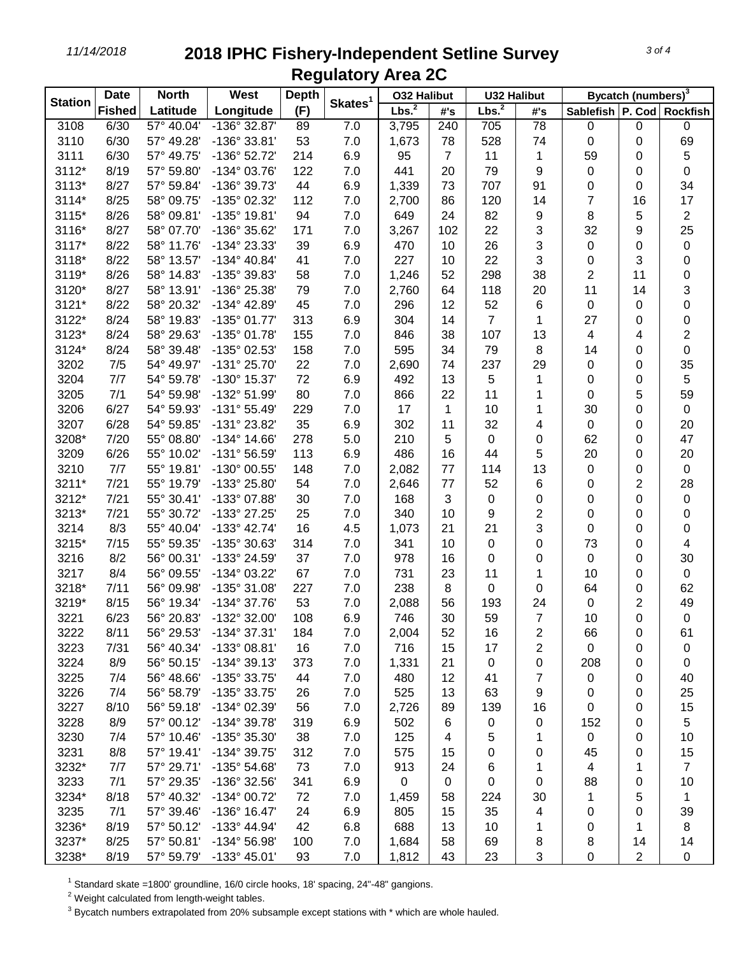*11/14/2018* **2018 IPHC Fishery-Independent Setline Survey Regulatory Area 2C**

| <b>Station</b> | <b>Date</b>   | <b>North</b> | West                  | <b>Depth</b> | Skates <sup>1</sup> | <b>O32 Halibut</b> |                | <b>U32 Halibut</b> |                | Bycatch (numbers) <sup>3</sup> |           |                |
|----------------|---------------|--------------|-----------------------|--------------|---------------------|--------------------|----------------|--------------------|----------------|--------------------------------|-----------|----------------|
|                | <b>Fished</b> | Latitude     | Longitude             | (F)          |                     | Lbs. <sup>2</sup>  | #'s            | Lbs. <sup>2</sup>  | #'s            | Sablefish   P. Cod   Rockfish  |           |                |
| 3108           | 6/30          | 57° 40.04'   | $-136^\circ$ 32.87'   | 89           | 7.0                 | 3,795              | 240            | 705                | 78             | 0                              | $\pmb{0}$ | $\mathbf 0$    |
| 3110           | 6/30          | 57° 49.28'   | $-136°33.81'$         | 53           | 7.0                 | 1,673              | 78             | 528                | 74             | $\mathbf 0$                    | 0         | 69             |
| 3111           | 6/30          | 57° 49.75'   | -136° 52.72'          | 214          | 6.9                 | 95                 | $\overline{7}$ | 11                 | 1              | 59                             | 0         | 5              |
| 3112*          | 8/19          | 57° 59.80'   | -134° 03.76'          | 122          | 7.0                 | 441                | 20             | 79                 | 9              | 0                              | 0         | 0              |
| 3113*          | 8/27          | 57° 59.84'   | -136° 39.73'          | 44           | 6.9                 | 1,339              | 73             | 707                | 91             | 0                              | 0         | 34             |
| 3114*          | 8/25          | 58° 09.75'   | -135° 02.32'          | 112          | 7.0                 | 2,700              | 86             | 120                | 14             | 7                              | 16        | 17             |
| 3115*          | 8/26          | 58° 09.81'   | -135° 19.81'          | 94           | 7.0                 | 649                | 24             | 82                 | 9              | 8                              | 5         | 2              |
| 3116*          | 8/27          | 58° 07.70'   | -136° 35.62'          | 171          | 7.0                 | 3,267              | 102            | 22                 | 3              | 32                             | 9         | 25             |
| 3117*          | 8/22          | 58° 11.76'   | -134° 23.33'          | 39           | 6.9                 | 470                | 10             | 26                 | 3              | 0                              | 0         | 0              |
| 3118*          | 8/22          | 58° 13.57'   | -134° 40.84'          | 41           | 7.0                 | 227                | 10             | 22                 | 3              | 0                              | 3         | 0              |
| 3119*          | 8/26          | 58° 14.83'   | -135° 39.83'          | 58           | 7.0                 | 1,246              | 52             | 298                | 38             | 2                              | 11        | 0              |
| 3120*          | 8/27          | 58° 13.91'   | -136° 25.38'          | 79           | 7.0                 | 2,760              | 64             | 118                | 20             | 11                             | 14        | 3              |
| 3121*          | 8/22          | 58° 20.32'   | -134° 42.89'          | 45           | 7.0                 | 296                | 12             | 52                 | 6              | 0                              | 0         | 0              |
| 3122*          | 8/24          | 58° 19.83'   | -135° 01.77'          | 313          | 6.9                 | 304                | 14             | 7                  | 1              | 27                             | 0         | 0              |
| 3123*          | 8/24          | 58° 29.63'   | -135° 01.78'          | 155          | 7.0                 | 846                | 38             | 107                | 13             | 4                              | 4         | 2              |
| 3124*          | 8/24          | 58° 39.48'   | -135° 02.53'          | 158          | 7.0                 | 595                | 34             | 79                 | 8              | 14                             | 0         | $\pmb{0}$      |
| 3202           | 7/5           | 54° 49.97'   | -131° 25.70'          | 22           | 7.0                 | 2,690              | 74             | 237                | 29             | 0                              | 0         | 35             |
| 3204           | 7/7           | 54° 59.78'   | -130° 15.37'          | 72           | 6.9                 | 492                | 13             | 5                  | 1              | 0                              | 0         | 5              |
| 3205           | 7/1           | 54° 59.98'   | -132° 51.99'          | 80           | 7.0                 | 866                | 22             | 11                 | 1              | 0                              | 5         | 59             |
| 3206           | 6/27          | 54° 59.93'   | $-131°55.49'$         | 229          | 7.0                 | 17                 | 1              | 10                 | 1              | 30                             | 0         | 0              |
| 3207           | 6/28          | 54° 59.85'   | -131° 23.82'          | 35           | 6.9                 | 302                | 11             | 32                 | 4              | 0                              | 0         | 20             |
| 3208*          | 7/20          | 55° 08.80'   | $-134^{\circ}$ 14.66' | 278          | 5.0                 | 210                | 5              | 0                  | 0              | 62                             | 0         | 47             |
| 3209           | 6/26          | 55° 10.02'   | -131° 56.59'          | 113          | 6.9                 | 486                | 16             | 44                 | 5              | 20                             | 0         | 20             |
| 3210           | 7/7           | 55° 19.81'   | -130° 00.55'          | 148          | 7.0                 | 2,082              | 77             | 114                | 13             | 0                              | 0         | $\pmb{0}$      |
| 3211*          | 7/21          | 55° 19.79'   | -133° 25.80'          | 54           | 7.0                 | 2,646              | 77             | 52                 | 6              | 0                              | 2         | 28             |
| 3212*          | 7/21          | 55° 30.41'   | -133° 07.88'          | 30           | 7.0                 | 168                | 3              | 0                  | 0              | 0                              | 0         | 0              |
| 3213*          | 7/21          | 55° 30.72'   | -133° 27.25'          | 25           | 7.0                 | 340                | 10             | 9                  | $\overline{2}$ | 0                              | 0         | 0              |
| 3214           | 8/3           | 55° 40.04'   | $-133^{\circ}$ 42.74' | 16           | 4.5                 | 1,073              | 21             | 21                 | 3              | 0                              | 0         | 0              |
| 3215*          | 7/15          | 55° 59.35'   | -135° 30.63'          | 314          | 7.0                 | 341                | 10             | 0                  | 0              | 73                             | 0         | 4              |
| 3216           | 8/2           | 56° 00.31'   | -133° 24.59'          | 37           | 7.0                 | 978                | 16             | 0                  | 0              | 0                              | 0         | 30             |
| 3217           | 8/4           | 56° 09.55'   | -134° 03.22'          | 67           | 7.0                 | 731                | 23             | 11                 | 1              | 10                             | 0         | 0              |
| 3218*          | 7/11          | 56° 09.98'   | -135° 31.08'          | 227          | 7.0                 | 238                | 8              | $\mathbf 0$        | 0              | 64                             | 0         | 62             |
| 3219*          | 8/15          | 56° 19.34'   | -134° 37.76'          | 53           | 7.0                 | 2,088              | 56             | 193                | 24             | $\pmb{0}$                      | 2         | 49             |
| 3221           | 6/23          | 56° 20.83'   | -132° 32.00'          | 108          | 6.9                 | 746                | 30             | 59                 | $\overline{7}$ | 10                             | 0         | 0              |
| 3222           | 8/11          | 56° 29.53'   | -134° 37.31'          | 184          | 7.0                 | 2,004              | 52             | 16                 | 2              | 66                             | 0         | 61             |
| 3223           | 7/31          | 56° 40.34'   | -133° 08.81'          | 16           | 7.0                 | 716                | 15             | 17                 | 2              | 0                              | 0         | 0              |
| 3224           | 8/9           | 56° 50.15'   | $-134^{\circ}39.13'$  | 373          | 7.0                 | 1,331              | 21             | 0                  | 0              | 208                            | 0         | 0              |
| 3225           | 7/4           | 56° 48.66'   | -135° 33.75'          | 44           | 7.0                 | 480                | 12             | 41                 | 7              | 0                              | 0         | 40             |
| 3226           | 7/4           | 56° 58.79'   | -135° 33.75'          | 26           | 7.0                 | 525                | 13             | 63                 | 9              | 0                              | 0         | 25             |
| 3227           | 8/10          | 56° 59.18'   | -134° 02.39'          | 56           | 7.0                 | 2,726              | 89             | 139                | 16             | 0                              | 0         | 15             |
| 3228           | 8/9           | 57° 00.12'   | -134° 39.78'          | 319          | 6.9                 | 502                | 6              | 0                  | 0              | 152                            | 0         | 5              |
| 3230           | 7/4           | 57° 10.46'   | -135° 35.30'          | 38           | 7.0                 | 125                | 4              | 5                  | 1              | 0                              | 0         | 10             |
| 3231           | 8/8           | 57° 19.41'   | -134° 39.75'          | 312          | 7.0                 | 575                | 15             | 0                  | 0              | 45                             | 0         | 15             |
| 3232*          | 7/7           | 57° 29.71'   | -135° 54.68'          | 73           | 7.0                 | 913                | 24             | 6                  | 1              | 4                              | 1         | $\overline{7}$ |
| 3233           | 7/1           | 57° 29.35'   | -136° 32.56'          | 341          | 6.9                 | $\mathbf 0$        | 0              | 0                  | 0              | 88                             | 0         | 10             |
| 3234*          | 8/18          | 57° 40.32'   | -134° 00.72'          | 72           | 7.0                 | 1,459              | 58             | 224                | 30             | 1                              | 5         | 1              |
| 3235           | 7/1           | 57° 39.46'   | -136° 16.47'          | 24           | 6.9                 | 805                | 15             | 35                 | 4              | 0                              | 0         | 39             |
| 3236*          | 8/19          | 57° 50.12'   | -133° 44.94'          | 42           | 6.8                 | 688                | 13             | 10                 | 1              | 0                              | 1         | 8              |
| 3237*          | 8/25          | 57° 50.81'   | -134° 56.98'          | 100          | 7.0                 | 1,684              | 58             | 69                 | 8              | 8                              | 14        | 14             |
| 3238*          | 8/19          | 57° 59.79'   | -133° 45.01'          | 93           | 7.0                 | 1,812              | 43             | 23                 | 3              | 0                              | 2         | 0              |
|                |               |              |                       |              |                     |                    |                |                    |                |                                |           |                |

 $1$  Standard skate =1800' groundline, 16/0 circle hooks, 18' spacing, 24"-48" gangions.

 $2$  Weight calculated from length-weight tables.

 $3$  Bycatch numbers extrapolated from 20% subsample except stations with  $*$  which are whole hauled.